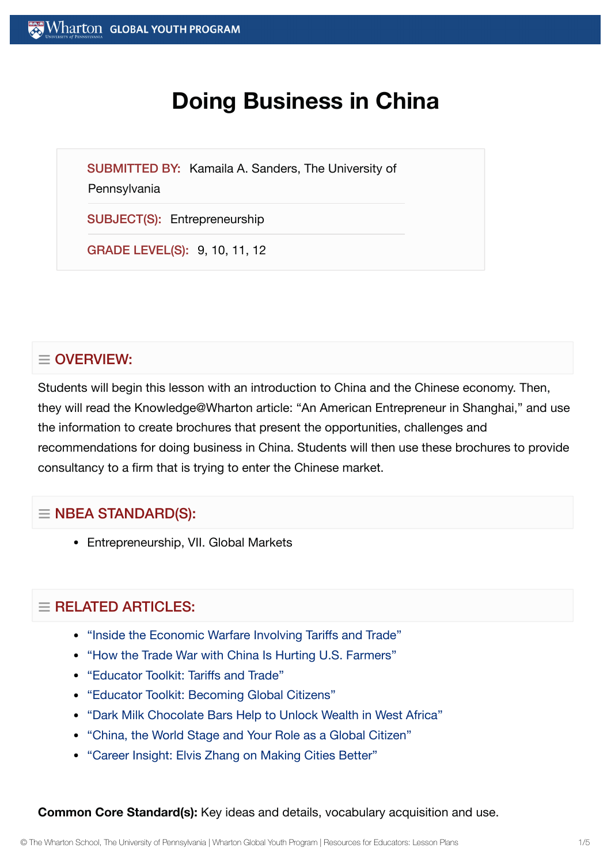# **Doing Business in China**

SUBMITTED BY: Kamaila A. Sanders, The University of

**Pennsylvania** 

SUBJECT(S): Entrepreneurship

GRADE LEVEL(S): 9, 10, 11, 12

# $\equiv$  OVERVIEW:

Students will begin this lesson with an introduction to China and the Chinese economy. Then, they will read the Knowledge@Wharton article: "An American Entrepreneur in Shanghai," and use the information to create brochures that present the opportunities, challenges and recommendations for doing business in China. Students will then use these brochures to provide consultancy to a firm that is trying to enter the Chinese market.

## $\equiv$  NBEA STANDARD(S):

Entrepreneurship, VII. Global Markets

## $=$  RELATED ARTICLES:

- "Inside the Economic Warfare Involving [Tariffs and](https://globalyouth.wharton.upenn.edu/articles/economic-warfare-tariffs-trade/) Trade"
- "How the Trade War with China [Is Hurting](https://globalyouth.wharton.upenn.edu/articles/how-the-trade-war-with-china-is-hurting-u-s-farmers/) U.S. Farmers"
- "Educator Toolkit: [Tariffs and](https://globalyouth.wharton.upenn.edu/articles/educator-toolkit-tariffs-trade/) Trade"
- "Educator Toolkit: [Becoming](https://globalyouth.wharton.upenn.edu/articles/august-2017-becoming-global-citizens/) Global Citizens"
- "Dark Milk [Chocolate](https://globalyouth.wharton.upenn.edu/articles/dark-milk-chocolate-bars-help-to-unlock-wealth-in-west-africa/) Bars Help to Unlock Wealth in West Africa"
- "China, the World Stage and Your Role as a Global [Citizen"](https://globalyouth.wharton.upenn.edu/articles/china-the-world-stage-and-your-role-as-a-global-citizen/)
- "Career Insight: Elvis Zhang on Making [Cities Better"](https://globalyouth.wharton.upenn.edu/articles/career-insight-elvis-zhang-making-cities-better/)

**Common Core Standard(s):** Key ideas and details, vocabulary acquisition and use.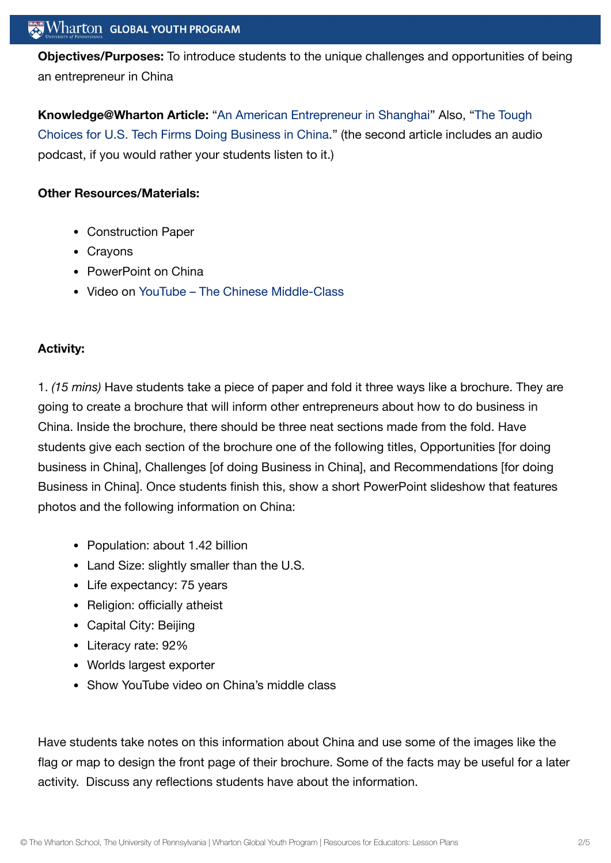**Objectives/Purposes:** To introduce students to the unique challenges and opportunities of being an entrepreneur in China

**[Knowledge@Wharton](https://knowledge.wharton.upenn.edu/article/the-tough-choice-facing-u-s-tech-firms-doing-business-in-china/) Article:** "An American [Entrepreneur](http://knowledge.wharton.upenn.edu/article.cfm?articleid=808) in Shanghai" Also, ["Th](https://knowledge.wharton.upenn.edu/article/the-tough-choice-facing-u-s-tech-firms-doing-business-in-china/)e Tough Choices for U.S. Tech Firms Doing Business in China." (the second article includes an audio podcast, if you would rather your students listen to it.)

#### **Other Resources/Materials:**

- Construction Paper
- Crayons
- PowerPoint on China
- Video on YouTube The Chinese [Middle-Class](http://www.youtube.com/watch?v=S4VbUZk1b3Y&playnext=1&list=PL96611666F91DD4B1)

## **Activity:**

1. *(15 mins)* Have students take a piece of paper and fold it three ways like a brochure. They are going to create a brochure that will inform other entrepreneurs about how to do business in China. Inside the brochure, there should be three neat sections made from the fold. Have students give each section of the brochure one of the following titles, Opportunities [for doing business in China], Challenges [of doing Business in China], and Recommendations [for doing Business in China]. Once students finish this, show a short PowerPoint slideshow that features photos and the following information on China:

- Population: about 1.42 billion
- Land Size: slightly smaller than the U.S.
- Life expectancy: 75 years
- Religion: officially atheist
- Capital City: Beijing
- Literacy rate: 92%
- Worlds largest exporter
- Show YouTube video on China's middle class

Have students take notes on this information about China and use some of the images like the flag or map to design the front page of their brochure. Some of the facts may be useful for a later activity. Discuss any reflections students have about the information.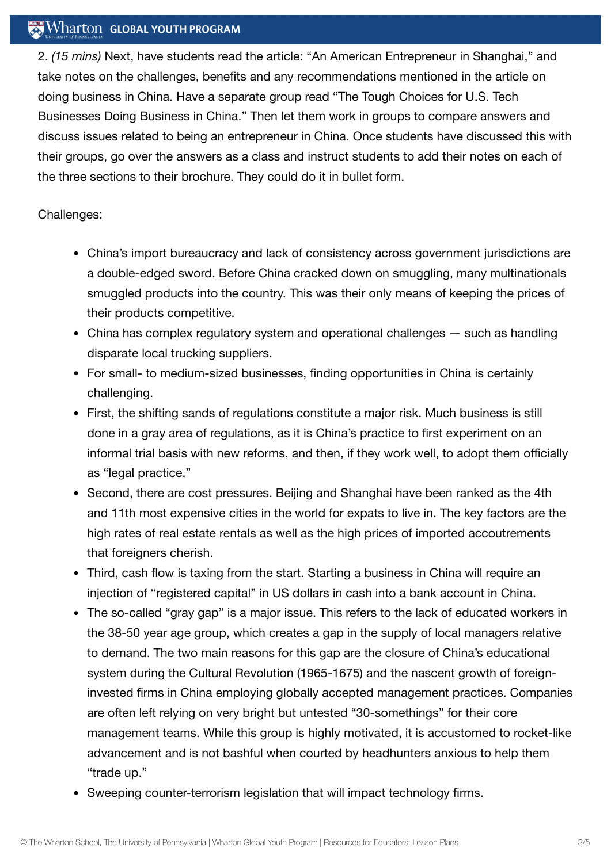#### $\mathbb{R}$  Wharton Global Youth Program

2. *(15 mins)* Next, have students read the article: "An American Entrepreneur in Shanghai," and take notes on the challenges, benefits and any recommendations mentioned in the article on doing business in China. Have a separate group read "The Tough Choices for U.S. Tech Businesses Doing Business in China." Then let them work in groups to compare answers and discuss issues related to being an entrepreneur in China. Once students have discussed this with their groups, go over the answers as a class and instruct students to add their notes on each of the three sections to their brochure. They could do it in bullet form.

#### Challenges:

- China's import bureaucracy and lack of consistency across government jurisdictions are a double-edged sword. Before China cracked down on smuggling, many multinationals smuggled products into the country. This was their only means of keeping the prices of their products competitive.
- China has complex regulatory system and operational challenges such as handling disparate local trucking suppliers.
- For small- to medium-sized businesses, finding opportunities in China is certainly challenging.
- First, the shifting sands of regulations constitute a major risk. Much business is still done in a gray area of regulations, as it is China's practice to first experiment on an informal trial basis with new reforms, and then, if they work well, to adopt them officially as "legal practice."
- Second, there are cost pressures. Beijing and Shanghai have been ranked as the 4th and 11th most expensive cities in the world for expats to live in. The key factors are the high rates of real estate rentals as well as the high prices of imported accoutrements that foreigners cherish.
- Third, cash flow is taxing from the start. Starting a business in China will require an injection of "registered capital" in US dollars in cash into a bank account in China.
- The so-called "gray gap" is a major issue. This refers to the lack of educated workers in the 38-50 year age group, which creates a gap in the supply of local managers relative to demand. The two main reasons for this gap are the closure of China's educational system during the Cultural Revolution (1965-1675) and the nascent growth of foreigninvested firms in China employing globally accepted management practices. Companies are often left relying on very bright but untested "30-somethings" for their core management teams. While this group is highly motivated, it is accustomed to rocket-like advancement and is not bashful when courted by headhunters anxious to help them "trade up."
- Sweeping counter-terrorism legislation that will impact technology firms.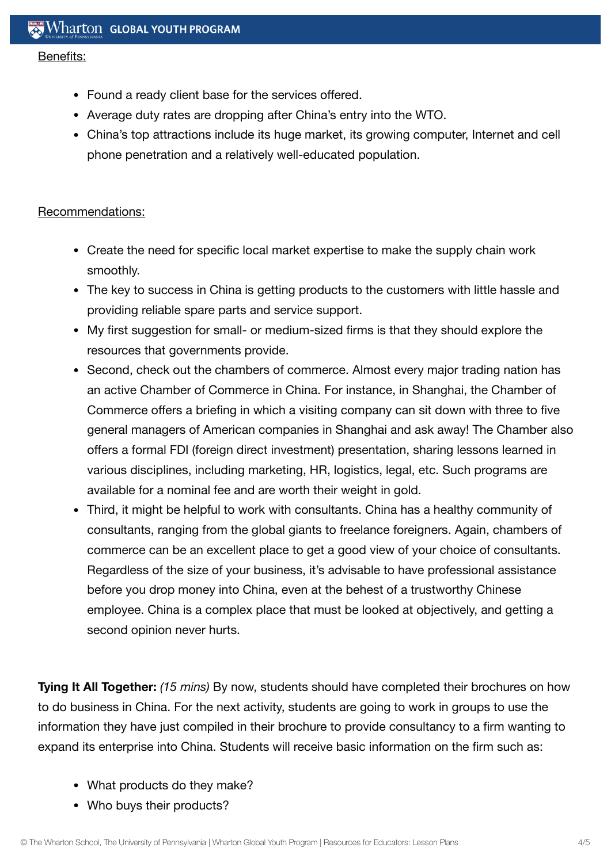#### Benefits:

- Found a ready client base for the services offered.
- Average duty rates are dropping after China's entry into the WTO.
- China's top attractions include its huge market, its growing computer, Internet and cell phone penetration and a relatively well-educated population.

#### Recommendations:

- Create the need for specific local market expertise to make the supply chain work smoothly.
- The key to success in China is getting products to the customers with little hassle and providing reliable spare parts and service support.
- My first suggestion for small- or medium-sized firms is that they should explore the resources that governments provide.
- Second, check out the chambers of commerce. Almost every major trading nation has an active Chamber of Commerce in China. For instance, in Shanghai, the Chamber of Commerce offers a briefing in which a visiting company can sit down with three to five general managers of American companies in Shanghai and ask away! The Chamber also offers a formal FDI (foreign direct investment) presentation, sharing lessons learned in various disciplines, including marketing, HR, logistics, legal, etc. Such programs are available for a nominal fee and are worth their weight in gold.
- Third, it might be helpful to work with consultants. China has a healthy community of consultants, ranging from the global giants to freelance foreigners. Again, chambers of commerce can be an excellent place to get a good view of your choice of consultants. Regardless of the size of your business, it's advisable to have professional assistance before you drop money into China, even at the behest of a trustworthy Chinese employee. China is a complex place that must be looked at objectively, and getting a second opinion never hurts.

**Tying It All Together:** *(15 mins)* By now, students should have completed their brochures on how to do business in China. For the next activity, students are going to work in groups to use the information they have just compiled in their brochure to provide consultancy to a firm wanting to expand its enterprise into China. Students will receive basic information on the firm such as:

- What products do they make?
- Who buys their products?